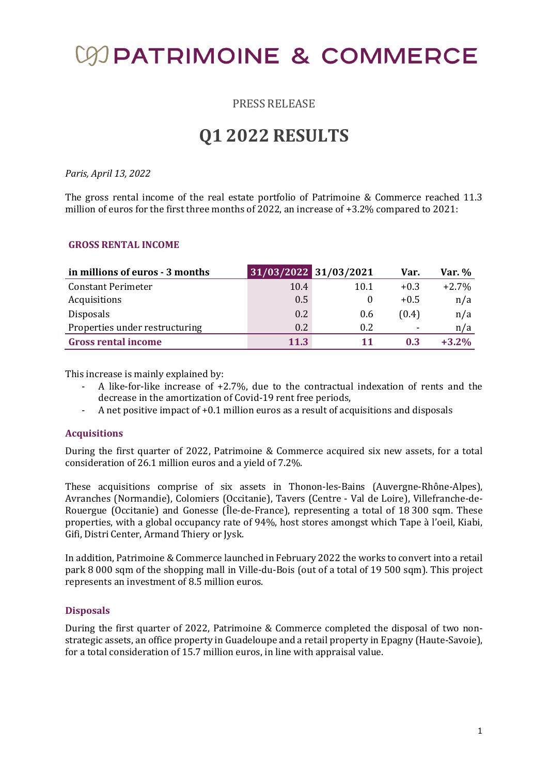# **COPATRIMOINE & COMMERCE**

PRESS RELEASE

## **Q1 2022 RESULTS**

#### *Paris, April 13, 2022*

The gross rental income of the real estate portfolio of Patrimoine & Commerce reached 11.3 million of euros for the first three months of 2022, an increase of +3.2% compared to 2021:

#### **GROSS RENTAL INCOME**

| in millions of euros - 3 months | 31/03/2022 31/03/2021 |      | Var.   | Var. %   |
|---------------------------------|-----------------------|------|--------|----------|
| <b>Constant Perimeter</b>       | 10.4                  | 10.1 | $+0.3$ | $+2.7\%$ |
| Acquisitions                    | 0.5                   |      | $+0.5$ | n/a      |
| <b>Disposals</b>                | 0.2                   | 0.6  | (0.4)  | n/a      |
| Properties under restructuring  | 0.2                   | 0.2  | ٠      | n/a      |
| <b>Gross rental income</b>      | 11.3                  | 11   | 0.3    | $+3.2\%$ |

This increase is mainly explained by:

- A like-for-like increase of +2.7%, due to the contractual indexation of rents and the decrease in the amortization of Covid-19 rent free periods,
- A net positive impact of +0.1 million euros as a result of acquisitions and disposals

### **Acquisitions**

During the first quarter of 2022, Patrimoine & Commerce acquired six new assets, for a total consideration of 26.1 million euros and a yield of 7.2%.

These acquisitions comprise of six assets in Thonon-les-Bains (Auvergne-Rhône-Alpes), Avranches (Normandie), Colomiers (Occitanie), Tavers (Centre - Val de Loire), Villefranche-de-Rouergue (Occitanie) and Gonesse (Île-de-France), representing a total of 18 300 sqm. These properties, with a global occupancy rate of 94%, host stores amongst which Tape à l'oeil, Kiabi, Gifi, Distri Center, Armand Thiery or Jysk.

In addition, Patrimoine & Commerce launched in February 2022 the works to convert into a retail park 8 000 sqm of the shopping mall in Ville-du-Bois (out of a total of 19 500 sqm). This project represents an investment of 8.5 million euros.

#### **Disposals**

During the first quarter of 2022, Patrimoine & Commerce completed the disposal of two nonstrategic assets, an office property in Guadeloupe and a retail property in Epagny (Haute-Savoie), for a total consideration of 15.7 million euros, in line with appraisal value.